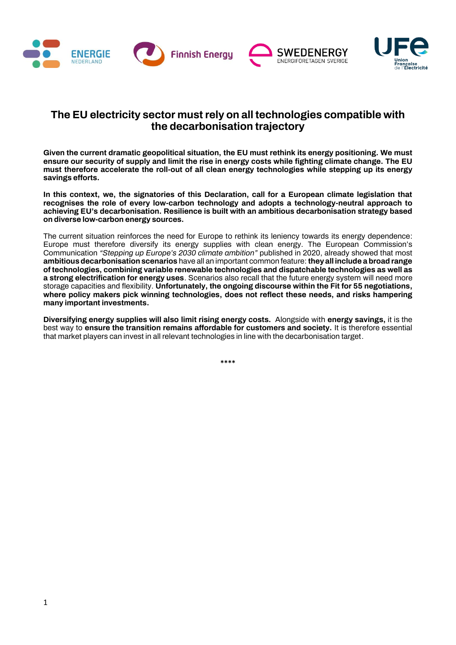





# **The EU electricity sector must rely on all technologies compatible with the decarbonisation trajectory**

**Given the current dramatic geopolitical situation, the EU must rethink its energy positioning. We must ensure our security of supply and limit the rise in energy costs while fighting climate change. The EU must therefore accelerate the roll-out of all clean energy technologies while stepping up its energy savings efforts.**

**In this context, we, the signatories of this Declaration, call for a European climate legislation that recognises the role of every low-carbon technology and adopts a technology-neutral approach to achieving EU's decarbonisation. Resilience is built with an ambitious decarbonisation strategy based on diverse low-carbon energy sources.**

The current situation reinforces the need for Europe to rethink its leniency towards its energy dependence: Europe must therefore diversify its energy supplies with clean energy. The European Commission's Communication *"Stepping up Europe's 2030 climate ambition"* published in 2020, already showed that most **ambitious decarbonisation scenarios** have all an important common feature: **they all include a broad range of technologies, combining variable renewable technologies and dispatchable technologies as well as a strong electrification for energy uses**. Scenarios also recall that the future energy system will need more storage capacities and flexibility. **Unfortunately, the ongoing discourse within the Fit for 55 negotiations, where policy makers pick winning technologies, does not reflect these needs, and risks hampering many important investments.**

**Diversifying energy supplies will also limit rising energy costs.** Alongside with **energy savings,** it is the best way to **ensure the transition remains affordable for customers and society.** It is therefore essential that market players can invest in all relevant technologies in line with the decarbonisation target.

**\*\*\*\***